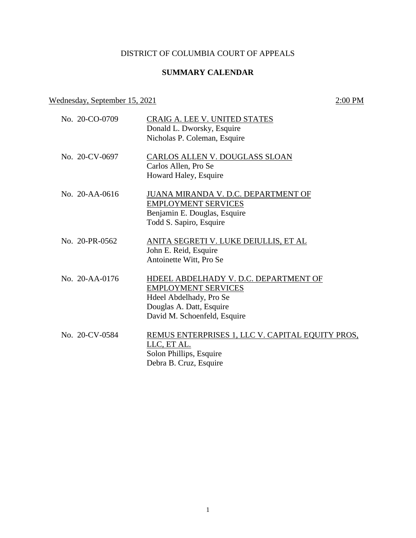# DISTRICT OF COLUMBIA COURT OF APPEALS

## **SUMMARY CALENDAR**

### Wednesday, September 15, 2021 2:00 PM

| No. 20-CO-0709 | CRAIG A. LEE V. UNITED STATES<br>Donald L. Dworsky, Esquire<br>Nicholas P. Coleman, Esquire                                                                |
|----------------|------------------------------------------------------------------------------------------------------------------------------------------------------------|
| No. 20-CV-0697 | CARLOS ALLEN V. DOUGLASS SLOAN<br>Carlos Allen, Pro Se<br>Howard Haley, Esquire                                                                            |
| No. 20-AA-0616 | JUANA MIRANDA V. D.C. DEPARTMENT OF<br><b>EMPLOYMENT SERVICES</b><br>Benjamin E. Douglas, Esquire<br>Todd S. Sapiro, Esquire                               |
| No. 20-PR-0562 | ANITA SEGRETI V. LUKE DEIULLIS, ET AL<br>John E. Reid, Esquire<br>Antoinette Witt, Pro Se                                                                  |
| No. 20-AA-0176 | HDEEL ABDELHADY V. D.C. DEPARTMENT OF<br><b>EMPLOYMENT SERVICES</b><br>Hdeel Abdelhady, Pro Se<br>Douglas A. Datt, Esquire<br>David M. Schoenfeld, Esquire |
| No. 20-CV-0584 | REMUS ENTERPRISES 1, LLC V. CAPITAL EQUITY PROS.<br>LLC, ET AL.<br>Solon Phillips, Esquire<br>Debra B. Cruz, Esquire                                       |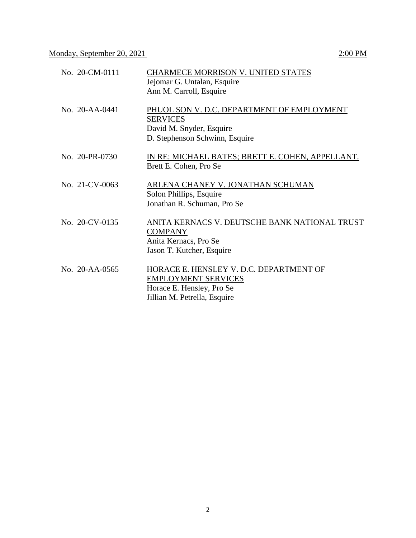| No. 20-CM-0111       | CHARMECE MORRISON V. UNITED STATES<br>Jejomar G. Untalan, Esquire<br>Ann M. Carroll, Esquire                                       |
|----------------------|------------------------------------------------------------------------------------------------------------------------------------|
| No. $20 - AA - 0441$ | PHUOL SON V. D.C. DEPARTMENT OF EMPLOYMENT<br><b>SERVICES</b><br>David M. Snyder, Esquire<br>D. Stephenson Schwinn, Esquire        |
| No. 20-PR-0730       | IN RE: MICHAEL BATES; BRETT E. COHEN, APPELLANT.<br>Brett E. Cohen, Pro Se                                                         |
| No. 21-CV-0063       | ARLENA CHANEY V. JONATHAN SCHUMAN<br>Solon Phillips, Esquire<br>Jonathan R. Schuman, Pro Se                                        |
| No. 20-CV-0135       | ANITA KERNACS V. DEUTSCHE BANK NATIONAL TRUST<br><b>COMPANY</b><br>Anita Kernacs, Pro Se<br>Jason T. Kutcher, Esquire              |
| No. 20-AA-0565       | HORACE E. HENSLEY V. D.C. DEPARTMENT OF<br><b>EMPLOYMENT SERVICES</b><br>Horace E. Hensley, Pro Se<br>Jillian M. Petrella, Esquire |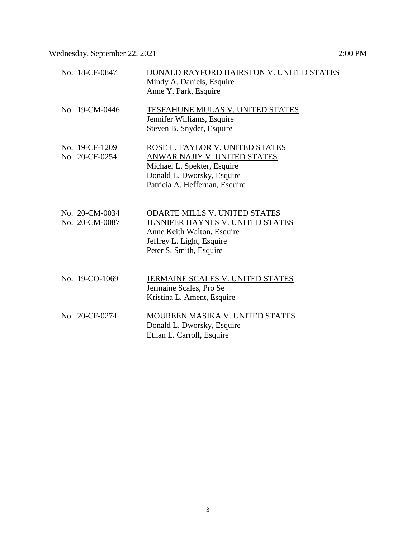| No. 18-CF-0847 | DONALD RAYFORD HAIRSTON V. UNITED STATES |
|----------------|------------------------------------------|
|                | Mindy A. Daniels, Esquire                |
|                | Anne Y. Park, Esquire                    |
| No. 19-CM-0446 | TESFAHUNE MULAS V. UNITED STATES         |
|                | Jennifer Williams, Esquire               |
|                | Steven B. Snyder, Esquire                |
| No. 19-CF-1209 | ROSE L. TAYLOR V. UNITED STATES          |
| No. 20-CF-0254 | ANWAR NAJIY V. UNITED STATES             |
|                | Michael L. Spekter, Esquire              |
|                | Donald L. Dworsky, Esquire               |
|                | Patricia A. Heffernan, Esquire           |
|                |                                          |
| No. 20-CM-0034 | <b>ODARTE MILLS V. UNITED STATES</b>     |
| No. 20-CM-0087 | JENNIFER HAYNES V. UNITED STATES         |
|                | Anne Keith Walton, Esquire               |
|                | Jeffrey L. Light, Esquire                |
|                | Peter S. Smith, Esquire                  |
|                |                                          |
| No. 19-CO-1069 | JERMAINE SCALES V. UNITED STATES         |
|                | Jermaine Scales, Pro Se                  |
|                | Kristina L. Ament, Esquire               |
| No. 20-CF-0274 | MOUREEN MASIKA V. UNITED STATES          |
|                | Donald L. Dworsky, Esquire               |
|                | Ethan L. Carroll, Esquire                |
|                |                                          |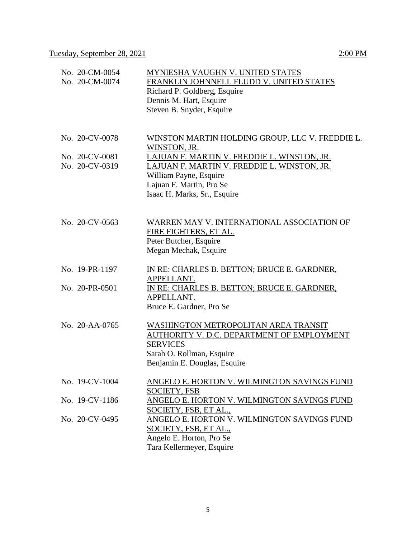| No. 20-CM-0054<br>No. 20-CM-0074 | MYNIESHA VAUGHN V. UNITED STATES<br>FRANKLIN JOHNNELL FLUDD V. UNITED STATES<br>Richard P. Goldberg, Esquire<br>Dennis M. Hart, Esquire<br>Steven B. Snyder, Esquire |
|----------------------------------|----------------------------------------------------------------------------------------------------------------------------------------------------------------------|
| No. 20-CV-0078                   | WINSTON MARTIN HOLDING GROUP, LLC V. FREDDIE L.<br><u>WINSTON, JR.</u>                                                                                               |
| No. 20-CV-0081                   | LAJUAN F. MARTIN V. FREDDIE L. WINSTON, JR.                                                                                                                          |
| No. 20-CV-0319                   | LAJUAN F. MARTIN V. FREDDIE L. WINSTON, JR.<br>William Payne, Esquire<br>Lajuan F. Martin, Pro Se                                                                    |
|                                  | Isaac H. Marks, Sr., Esquire                                                                                                                                         |
| No. 20-CV-0563                   | WARREN MAY V. INTERNATIONAL ASSOCIATION OF<br>FIRE FIGHTERS, ET AL.<br>Peter Butcher, Esquire<br>Megan Mechak, Esquire                                               |
| No. 19-PR-1197                   | IN RE: CHARLES B. BETTON; BRUCE E. GARDNER,<br>APPELLANT.                                                                                                            |
| No. 20-PR-0501                   | IN RE: CHARLES B. BETTON; BRUCE E. GARDNER,<br>APPELLANT.<br>Bruce E. Gardner, Pro Se                                                                                |
| No. 20-AA-0765                   | WASHINGTON METROPOLITAN AREA TRANSIT<br>AUTHORITY V. D.C. DEPARTMENT OF EMPLOYMENT<br><b>SERVICES</b><br>Sarah O. Rollman, Esquire<br>Benjamin E. Douglas, Esquire   |
| No. 19-CV-1004                   | ANGELO E. HORTON V. WILMINGTON SAVINGS FUND<br><b>SOCIETY, FSB</b>                                                                                                   |
| No. 19-CV-1186                   | <u>ANGELO E. HORTON V. WILMINGTON SAVINGS FUND</u><br>SOCIETY, FSB, ET AL.,                                                                                          |
| No. 20-CV-0495                   | ANGELO E. HORTON V. WILMINGTON SAVINGS FUND<br>SOCIETY, FSB, ET AL.,<br>Angelo E. Horton, Pro Se<br>Tara Kellermeyer, Esquire                                        |